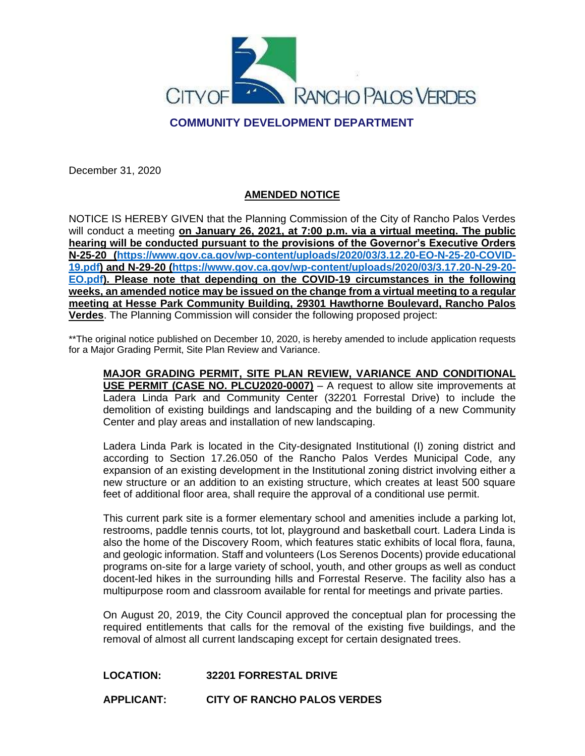

## **COMMUNITY DEVELOPMENT DEPARTMENT**

December 31, 2020

### **AMENDED NOTICE**

NOTICE IS HEREBY GIVEN that the Planning Commission of the City of Rancho Palos Verdes will conduct a meeting **on January 26, 2021, at 7:00 p.m. via a virtual meeting. The public hearing will be conducted pursuant to the provisions of the Governor's Executive Orders N-25-20 [\(https://www.gov.ca.gov/wp-content/uploads/2020/03/3.12.20-EO-N-25-20-COVID-](https://www.gov.ca.gov/wp-content/uploads/2020/03/3.12.20-EO-N-25-20-COVID-19.pdf)[19.pdf\)](https://www.gov.ca.gov/wp-content/uploads/2020/03/3.12.20-EO-N-25-20-COVID-19.pdf) and N-29-20 [\(https://www.gov.ca.gov/wp-content/uploads/2020/03/3.17.20-N-29-20-](https://www.gov.ca.gov/wp-content/uploads/2020/03/3.17.20-N-29-20-EO.pdf) [EO.pdf\)](https://www.gov.ca.gov/wp-content/uploads/2020/03/3.17.20-N-29-20-EO.pdf). Please note that depending on the COVID-19 circumstances in the following weeks, an amended notice may be issued on the change from a virtual meeting to a regular meeting at Hesse Park Community Building, 29301 Hawthorne Boulevard, Rancho Palos Verdes**. The Planning Commission will consider the following proposed project:

\*\*The original notice published on December 10, 2020, is hereby amended to include application requests for a Major Grading Permit, Site Plan Review and Variance.

**MAJOR GRADING PERMIT, SITE PLAN REVIEW, VARIANCE AND CONDITIONAL USE PERMIT (CASE NO. PLCU2020-0007)** – A request to allow site improvements at Ladera Linda Park and Community Center (32201 Forrestal Drive) to include the demolition of existing buildings and landscaping and the building of a new Community Center and play areas and installation of new landscaping.

Ladera Linda Park is located in the City-designated Institutional (I) zoning district and according to Section 17.26.050 of the Rancho Palos Verdes Municipal Code, any expansion of an existing development in the Institutional zoning district involving either a new structure or an addition to an existing structure, which creates at least 500 square feet of additional floor area, shall require the approval of a conditional use permit.

This current park site is a former elementary school and amenities include a parking lot, restrooms, paddle tennis courts, tot lot, playground and basketball court. Ladera Linda is also the home of the Discovery Room, which features static exhibits of local flora, fauna, and geologic information. Staff and volunteers (Los Serenos Docents) provide educational programs on-site for a large variety of school, youth, and other groups as well as conduct docent-led hikes in the surrounding hills and Forrestal Reserve. The facility also has a multipurpose room and classroom available for rental for meetings and private parties.

On August 20, 2019, the City Council approved the conceptual plan for processing the required entitlements that calls for the removal of the existing five buildings, and the removal of almost all current landscaping except for certain designated trees.

### **LOCATION: 32201 FORRESTAL DRIVE**

**APPLICANT: CITY OF RANCHO PALOS VERDES**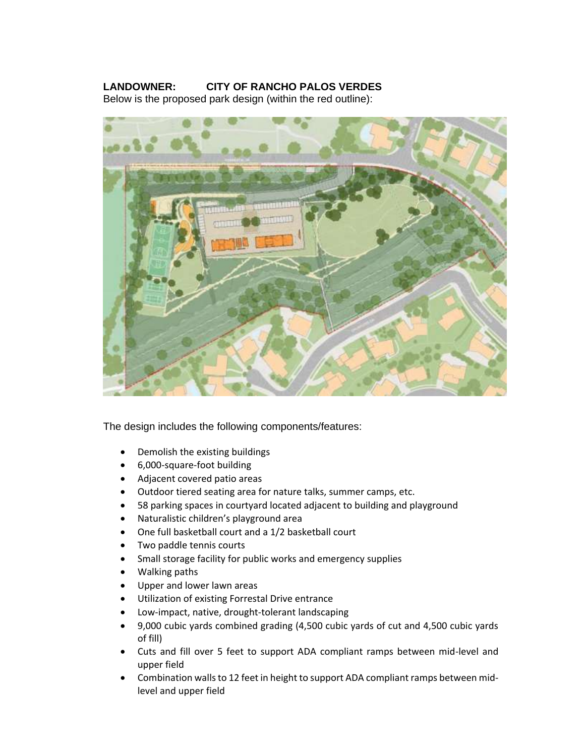# **LANDOWNER: CITY OF RANCHO PALOS VERDES**

Below is the proposed park design (within the red outline):



The design includes the following components/features:

- Demolish the existing buildings
- 6,000-square-foot building
- Adjacent covered patio areas
- Outdoor tiered seating area for nature talks, summer camps, etc.
- 58 parking spaces in courtyard located adjacent to building and playground
- Naturalistic children's playground area
- One full basketball court and a 1/2 basketball court
- Two paddle tennis courts
- Small storage facility for public works and emergency supplies
- Walking paths
- Upper and lower lawn areas
- Utilization of existing Forrestal Drive entrance
- Low-impact, native, drought-tolerant landscaping
- 9,000 cubic yards combined grading (4,500 cubic yards of cut and 4,500 cubic yards of fill)
- Cuts and fill over 5 feet to support ADA compliant ramps between mid-level and upper field
- Combination walls to 12 feet in height to support ADA compliant ramps between midlevel and upper field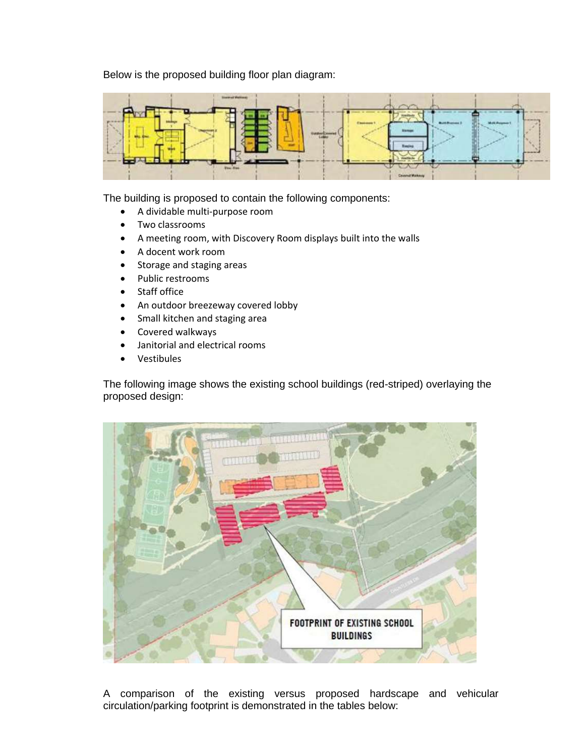Below is the proposed building floor plan diagram:



The building is proposed to contain the following components:

- A dividable multi-purpose room
- Two classrooms
- A meeting room, with Discovery Room displays built into the walls
- A docent work room
- Storage and staging areas
- Public restrooms
- Staff office
- An outdoor breezeway covered lobby
- Small kitchen and staging area
- Covered walkways
- Janitorial and electrical rooms
- Vestibules

The following image shows the existing school buildings (red-striped) overlaying the proposed design:



A comparison of the existing versus proposed hardscape and vehicular circulation/parking footprint is demonstrated in the tables below: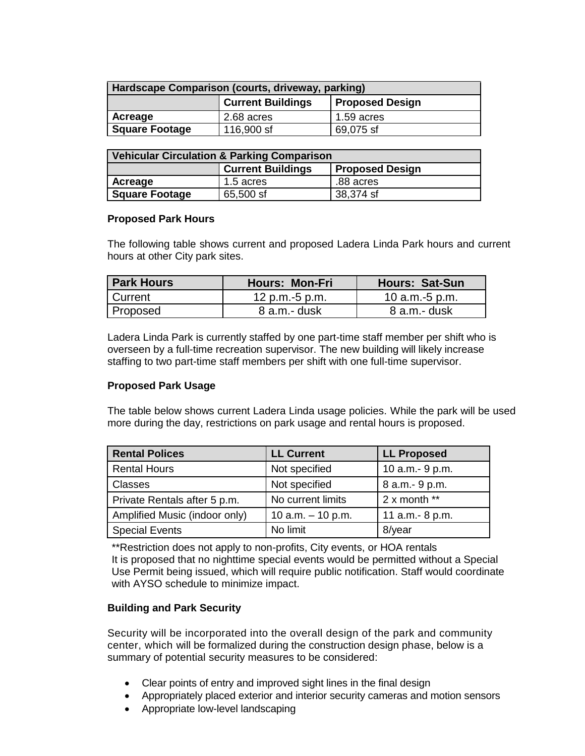| Hardscape Comparison (courts, driveway, parking) |                                                    |              |  |  |
|--------------------------------------------------|----------------------------------------------------|--------------|--|--|
|                                                  | <b>Current Buildings</b><br><b>Proposed Design</b> |              |  |  |
| Acreage                                          | 2.68 acres                                         | $1.59$ acres |  |  |
| <b>Square Footage</b>                            | 116,900 sf                                         | 69,075 sf    |  |  |

| <b>Vehicular Circulation &amp; Parking Comparison</b> |                                                    |           |  |  |
|-------------------------------------------------------|----------------------------------------------------|-----------|--|--|
|                                                       | <b>Current Buildings</b><br><b>Proposed Design</b> |           |  |  |
| Acreage                                               | 1.5 acres                                          | .88 acres |  |  |
| <b>Square Footage</b>                                 | 65,500 sf                                          | 38,374 sf |  |  |

### **Proposed Park Hours**

The following table shows current and proposed Ladera Linda Park hours and current hours at other City park sites.

| <b>Park Hours</b> | <b>Hours: Mon-Fri</b> | <b>Hours: Sat-Sun</b> |
|-------------------|-----------------------|-----------------------|
| <b>Current</b>    | 12 p.m.-5 p.m.        | 10 $a.m.-5 p.m.$      |
| <b>Proposed</b>   | $8$ a.m.- dusk        | 8 a.m.- dusk          |

Ladera Linda Park is currently staffed by one part-time staff member per shift who is overseen by a full-time recreation supervisor. The new building will likely increase staffing to two part-time staff members per shift with one full-time supervisor.

### **Proposed Park Usage**

The table below shows current Ladera Linda usage policies. While the park will be used more during the day, restrictions on park usage and rental hours is proposed.

| <b>Rental Polices</b>         | <b>LL Current</b>   | <b>LL Proposed</b> |
|-------------------------------|---------------------|--------------------|
| <b>Rental Hours</b>           | Not specified       | 10 a.m. - 9 p.m.   |
| Classes                       | Not specified       | 8 a.m.- 9 p.m.     |
| Private Rentals after 5 p.m.  | No current limits   | $2x$ month **      |
| Amplified Music (indoor only) | 10 $a.m. - 10 p.m.$ | 11 a.m.- 8 p.m.    |
| <b>Special Events</b>         | No limit            | 8/year             |

\*\*Restriction does not apply to non-profits, City events, or HOA rentals It is proposed that no nighttime special events would be permitted without a Special Use Permit being issued, which will require public notification. Staff would coordinate with AYSO schedule to minimize impact.

### **Building and Park Security**

Security will be incorporated into the overall design of the park and community center, which will be formalized during the construction design phase, below is a summary of potential security measures to be considered:

- Clear points of entry and improved sight lines in the final design
- Appropriately placed exterior and interior security cameras and motion sensors
- Appropriate low-level landscaping